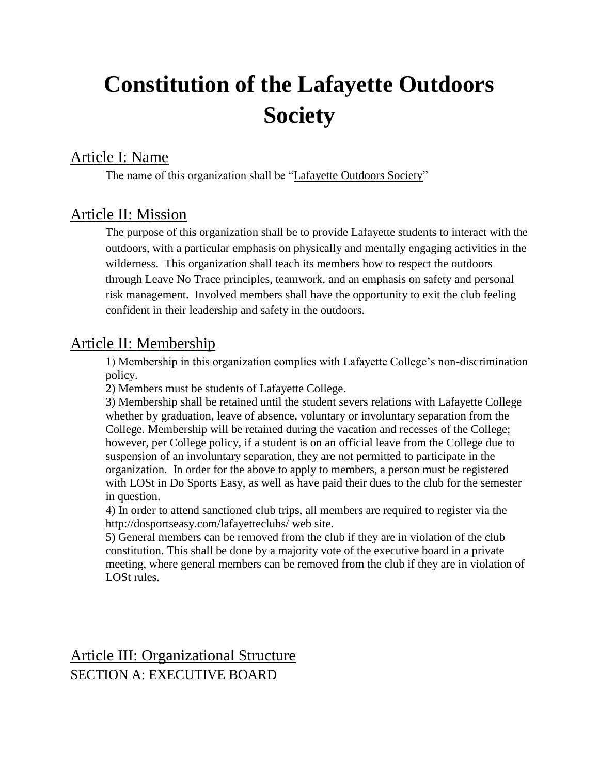# **Constitution of the Lafayette Outdoors Society**

# Article I: Name

The name of this organization shall be "Lafayette Outdoors Society"

## Article II: Mission

The purpose of this organization shall be to provide Lafayette students to interact with the outdoors, with a particular emphasis on physically and mentally engaging activities in the wilderness. This organization shall teach its members how to respect the outdoors through Leave No Trace principles, teamwork, and an emphasis on safety and personal risk management. Involved members shall have the opportunity to exit the club feeling confident in their leadership and safety in the outdoors.

## Article II: Membership

1) Membership in this organization complies with Lafayette College's non-discrimination policy.

2) Members must be students of Lafayette College.

3) Membership shall be retained until the student severs relations with Lafayette College whether by graduation, leave of absence, voluntary or involuntary separation from the College. Membership will be retained during the vacation and recesses of the College; however, per College policy, if a student is on an official leave from the College due to suspension of an involuntary separation, they are not permitted to participate in the organization. In order for the above to apply to members, a person must be registered with LOSt in Do Sports Easy, as well as have paid their dues to the club for the semester in question.

4) In order to attend sanctioned club trips, all members are required to register via the <http://dosportseasy.com/lafayetteclubs/> web site.

5) General members can be removed from the club if they are in violation of the club constitution. This shall be done by a majority vote of the executive board in a private meeting, where general members can be removed from the club if they are in violation of LOSt rules.

Article III: Organizational Structure SECTION A: EXECUTIVE BOARD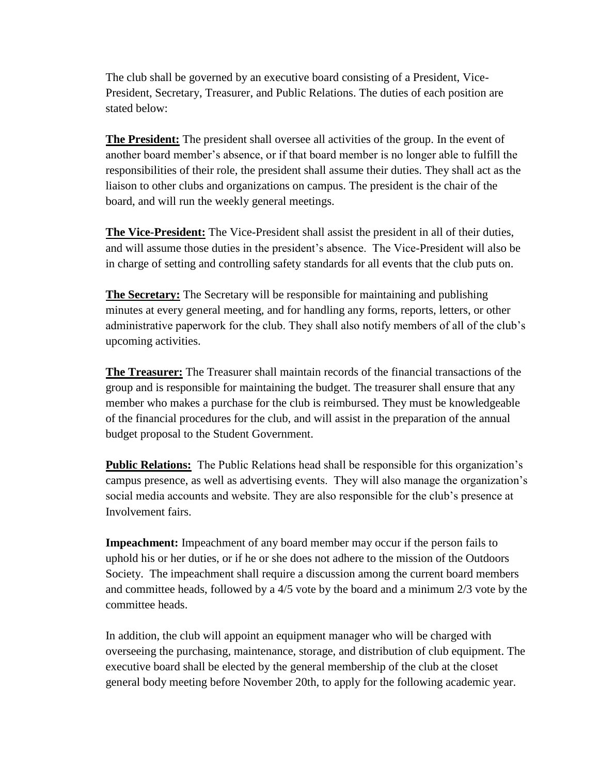The club shall be governed by an executive board consisting of a President, Vice-President, Secretary, Treasurer, and Public Relations. The duties of each position are stated below:

**The President:** The president shall oversee all activities of the group. In the event of another board member's absence, or if that board member is no longer able to fulfill the responsibilities of their role, the president shall assume their duties. They shall act as the liaison to other clubs and organizations on campus. The president is the chair of the board, and will run the weekly general meetings.

**The Vice-President:** The Vice-President shall assist the president in all of their duties, and will assume those duties in the president's absence. The Vice-President will also be in charge of setting and controlling safety standards for all events that the club puts on.

**The Secretary:** The Secretary will be responsible for maintaining and publishing minutes at every general meeting, and for handling any forms, reports, letters, or other administrative paperwork for the club. They shall also notify members of all of the club's upcoming activities.

**The Treasurer:** The Treasurer shall maintain records of the financial transactions of the group and is responsible for maintaining the budget. The treasurer shall ensure that any member who makes a purchase for the club is reimbursed. They must be knowledgeable of the financial procedures for the club, and will assist in the preparation of the annual budget proposal to the Student Government.

**Public Relations:** The Public Relations head shall be responsible for this organization's campus presence, as well as advertising events. They will also manage the organization's social media accounts and website. They are also responsible for the club's presence at Involvement fairs.

**Impeachment:** Impeachment of any board member may occur if the person fails to uphold his or her duties, or if he or she does not adhere to the mission of the Outdoors Society. The impeachment shall require a discussion among the current board members and committee heads, followed by a 4/5 vote by the board and a minimum 2/3 vote by the committee heads.

In addition, the club will appoint an equipment manager who will be charged with overseeing the purchasing, maintenance, storage, and distribution of club equipment. The executive board shall be elected by the general membership of the club at the closet general body meeting before November 20th, to apply for the following academic year.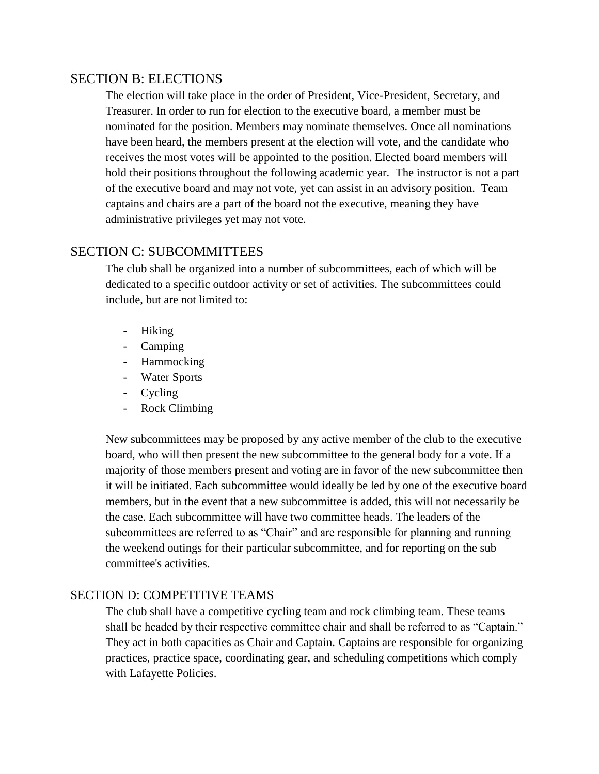#### SECTION B: ELECTIONS

The election will take place in the order of President, Vice-President, Secretary, and Treasurer. In order to run for election to the executive board, a member must be nominated for the position. Members may nominate themselves. Once all nominations have been heard, the members present at the election will vote, and the candidate who receives the most votes will be appointed to the position. Elected board members will hold their positions throughout the following academic year. The instructor is not a part of the executive board and may not vote, yet can assist in an advisory position. Team captains and chairs are a part of the board not the executive, meaning they have administrative privileges yet may not vote.

#### SECTION C: SUBCOMMITTEES

The club shall be organized into a number of subcommittees, each of which will be dedicated to a specific outdoor activity or set of activities. The subcommittees could include, but are not limited to:

- Hiking
- Camping
- Hammocking
- Water Sports
- Cycling
- Rock Climbing

New subcommittees may be proposed by any active member of the club to the executive board, who will then present the new subcommittee to the general body for a vote. If a majority of those members present and voting are in favor of the new subcommittee then it will be initiated. Each subcommittee would ideally be led by one of the executive board members, but in the event that a new subcommittee is added, this will not necessarily be the case. Each subcommittee will have two committee heads. The leaders of the subcommittees are referred to as "Chair" and are responsible for planning and running the weekend outings for their particular subcommittee, and for reporting on the sub committee's activities.

#### SECTION D: COMPETITIVE TEAMS

The club shall have a competitive cycling team and rock climbing team. These teams shall be headed by their respective committee chair and shall be referred to as "Captain." They act in both capacities as Chair and Captain. Captains are responsible for organizing practices, practice space, coordinating gear, and scheduling competitions which comply with Lafayette Policies.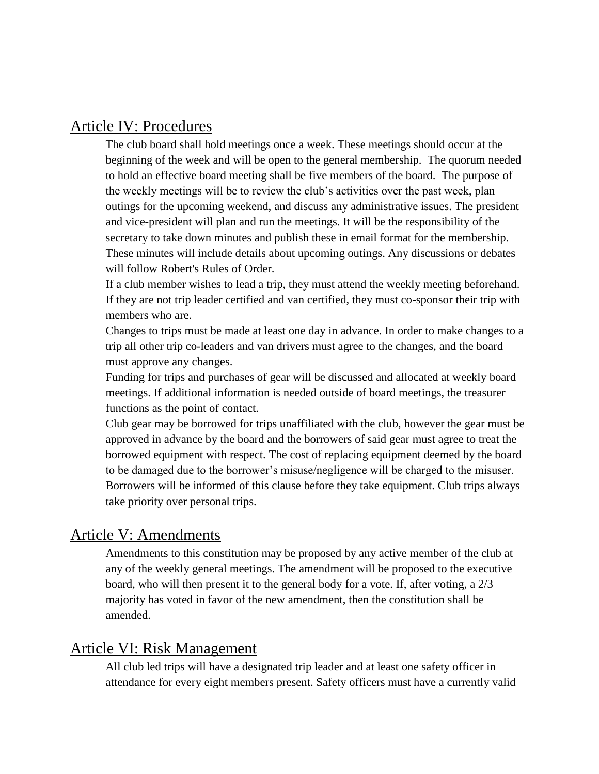### Article IV: Procedures

The club board shall hold meetings once a week. These meetings should occur at the beginning of the week and will be open to the general membership. The quorum needed to hold an effective board meeting shall be five members of the board. The purpose of the weekly meetings will be to review the club's activities over the past week, plan outings for the upcoming weekend, and discuss any administrative issues. The president and vice-president will plan and run the meetings. It will be the responsibility of the secretary to take down minutes and publish these in email format for the membership. These minutes will include details about upcoming outings. Any discussions or debates will follow Robert's Rules of Order.

If a club member wishes to lead a trip, they must attend the weekly meeting beforehand. If they are not trip leader certified and van certified, they must co-sponsor their trip with members who are.

Changes to trips must be made at least one day in advance. In order to make changes to a trip all other trip co-leaders and van drivers must agree to the changes, and the board must approve any changes.

Funding for trips and purchases of gear will be discussed and allocated at weekly board meetings. If additional information is needed outside of board meetings, the treasurer functions as the point of contact.

Club gear may be borrowed for trips unaffiliated with the club, however the gear must be approved in advance by the board and the borrowers of said gear must agree to treat the borrowed equipment with respect. The cost of replacing equipment deemed by the board to be damaged due to the borrower's misuse/negligence will be charged to the misuser. Borrowers will be informed of this clause before they take equipment. Club trips always take priority over personal trips.

#### Article V: Amendments

Amendments to this constitution may be proposed by any active member of the club at any of the weekly general meetings. The amendment will be proposed to the executive board, who will then present it to the general body for a vote. If, after voting, a 2/3 majority has voted in favor of the new amendment, then the constitution shall be amended.

## Article VI: Risk Management

All club led trips will have a designated trip leader and at least one safety officer in attendance for every eight members present. Safety officers must have a currently valid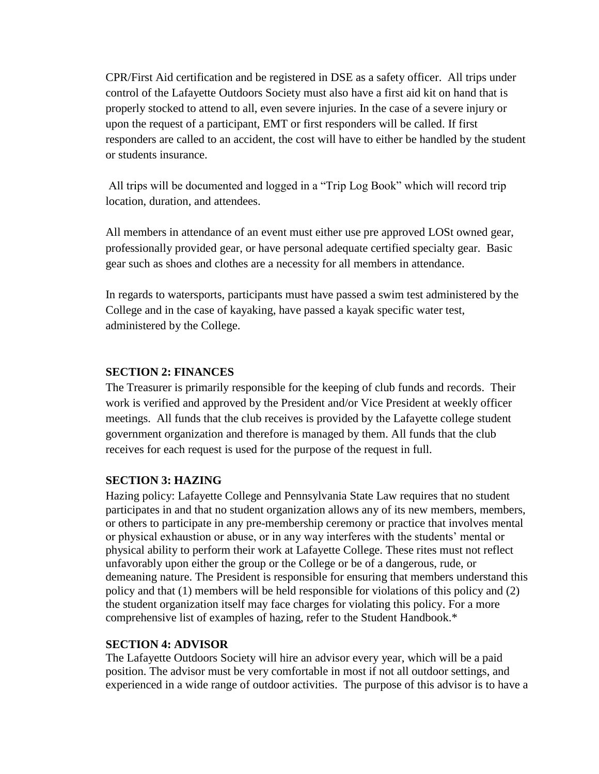CPR/First Aid certification and be registered in DSE as a safety officer. All trips under control of the Lafayette Outdoors Society must also have a first aid kit on hand that is properly stocked to attend to all, even severe injuries. In the case of a severe injury or upon the request of a participant, EMT or first responders will be called. If first responders are called to an accident, the cost will have to either be handled by the student or students insurance.

All trips will be documented and logged in a "Trip Log Book" which will record trip location, duration, and attendees.

All members in attendance of an event must either use pre approved LOSt owned gear, professionally provided gear, or have personal adequate certified specialty gear. Basic gear such as shoes and clothes are a necessity for all members in attendance.

In regards to watersports, participants must have passed a swim test administered by the College and in the case of kayaking, have passed a kayak specific water test, administered by the College.

#### **SECTION 2: FINANCES**

The Treasurer is primarily responsible for the keeping of club funds and records. Their work is verified and approved by the President and/or Vice President at weekly officer meetings. All funds that the club receives is provided by the Lafayette college student government organization and therefore is managed by them. All funds that the club receives for each request is used for the purpose of the request in full.

#### **SECTION 3: HAZING**

Hazing policy: Lafayette College and Pennsylvania State Law requires that no student participates in and that no student organization allows any of its new members, members, or others to participate in any pre-membership ceremony or practice that involves mental or physical exhaustion or abuse, or in any way interferes with the students' mental or physical ability to perform their work at Lafayette College. These rites must not reflect unfavorably upon either the group or the College or be of a dangerous, rude, or demeaning nature. The President is responsible for ensuring that members understand this policy and that (1) members will be held responsible for violations of this policy and (2) the student organization itself may face charges for violating this policy. For a more comprehensive list of examples of hazing, refer to the Student Handbook.\*

#### **SECTION 4: ADVISOR**

The Lafayette Outdoors Society will hire an advisor every year, which will be a paid position. The advisor must be very comfortable in most if not all outdoor settings, and experienced in a wide range of outdoor activities. The purpose of this advisor is to have a